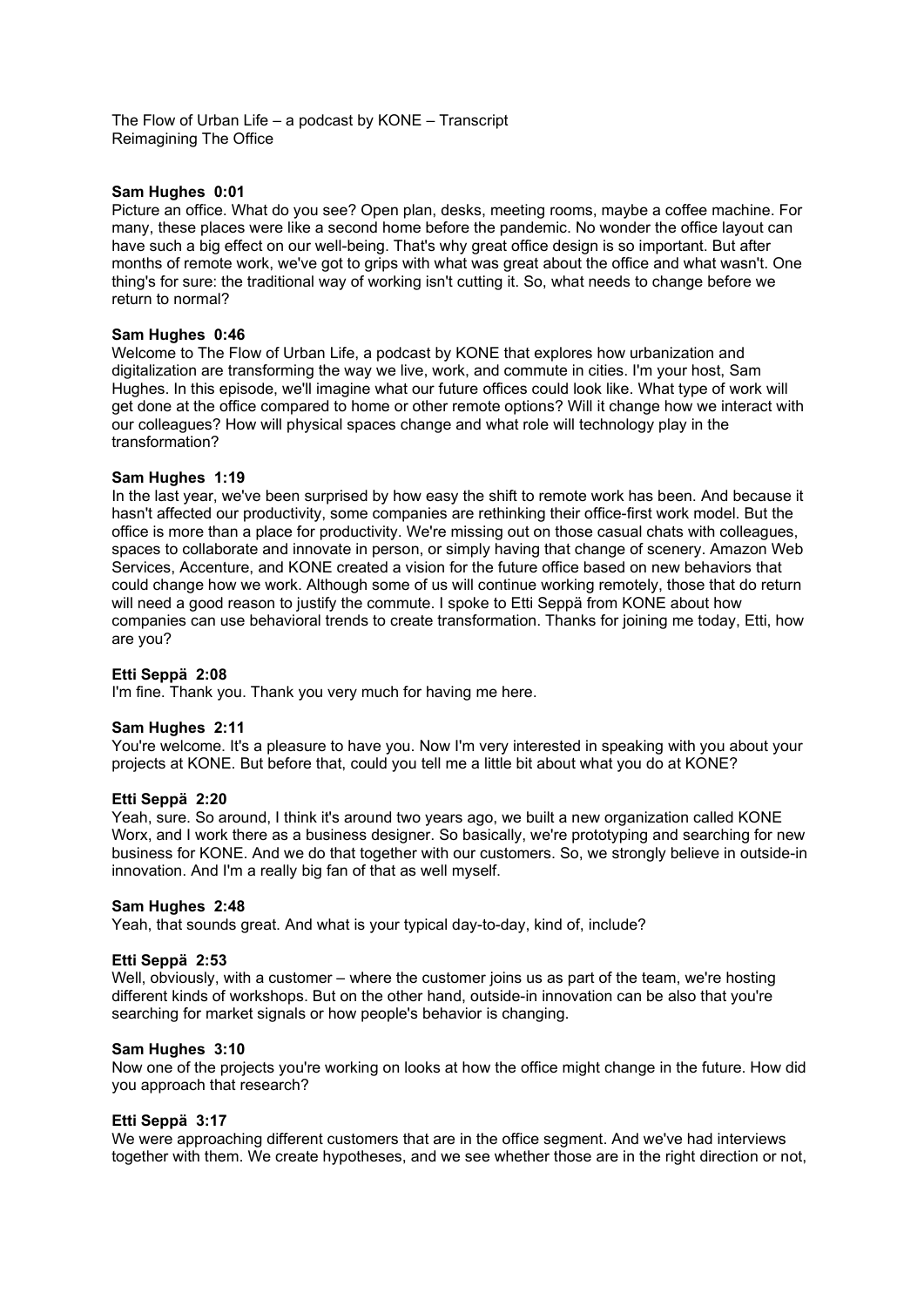The Flow of Urban Life – a podcast by KONE – Transcript Reimagining The Office

## **Sam Hughes 0:01**

Picture an office. What do you see? Open plan, desks, meeting rooms, maybe a coffee machine. For many, these places were like a second home before the pandemic. No wonder the office layout can have such a big effect on our well-being. That's why great office design is so important. But after months of remote work, we've got to grips with what was great about the office and what wasn't. One thing's for sure: the traditional way of working isn't cutting it. So, what needs to change before we return to normal?

## **Sam Hughes 0:46**

Welcome to The Flow of Urban Life, a podcast by KONE that explores how urbanization and digitalization are transforming the way we live, work, and commute in cities. I'm your host, Sam Hughes. In this episode, we'll imagine what our future offices could look like. What type of work will get done at the office compared to home or other remote options? Will it change how we interact with our colleagues? How will physical spaces change and what role will technology play in the transformation?

## **Sam Hughes 1:19**

In the last year, we've been surprised by how easy the shift to remote work has been. And because it hasn't affected our productivity, some companies are rethinking their office-first work model. But the office is more than a place for productivity. We're missing out on those casual chats with colleagues, spaces to collaborate and innovate in person, or simply having that change of scenery. Amazon Web Services, Accenture, and KONE created a vision for the future office based on new behaviors that could change how we work. Although some of us will continue working remotely, those that do return will need a good reason to justify the commute. I spoke to Etti Seppä from KONE about how companies can use behavioral trends to create transformation. Thanks for joining me today, Etti, how are you?

### **Etti Seppä 2:08**

I'm fine. Thank you. Thank you very much for having me here.

### **Sam Hughes 2:11**

You're welcome. It's a pleasure to have you. Now I'm very interested in speaking with you about your projects at KONE. But before that, could you tell me a little bit about what you do at KONE?

### **Etti Seppä 2:20**

Yeah, sure. So around, I think it's around two years ago, we built a new organization called KONE Worx, and I work there as a business designer. So basically, we're prototyping and searching for new business for KONE. And we do that together with our customers. So, we strongly believe in outside-in innovation. And I'm a really big fan of that as well myself.

### **Sam Hughes 2:48**

Yeah, that sounds great. And what is your typical day-to-day, kind of, include?

### **Etti Seppä 2:53**

Well, obviously, with a customer – where the customer joins us as part of the team, we're hosting different kinds of workshops. But on the other hand, outside-in innovation can be also that you're searching for market signals or how people's behavior is changing.

### **Sam Hughes 3:10**

Now one of the projects you're working on looks at how the office might change in the future. How did you approach that research?

### **Etti Seppä 3:17**

We were approaching different customers that are in the office segment. And we've had interviews together with them. We create hypotheses, and we see whether those are in the right direction or not,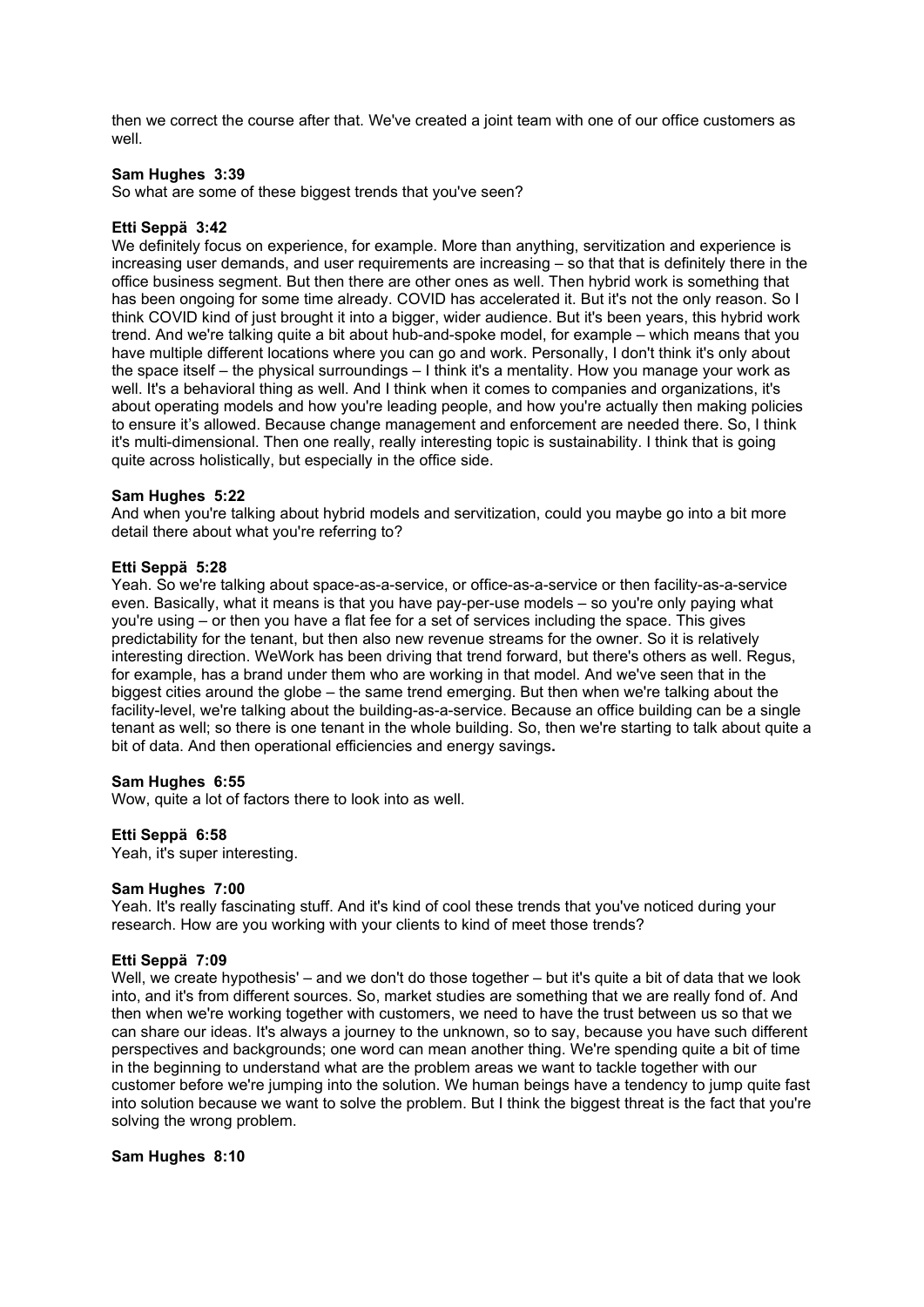then we correct the course after that. We've created a joint team with one of our office customers as well.

## **Sam Hughes 3:39**

So what are some of these biggest trends that you've seen?

## **Etti Seppä 3:42**

We definitely focus on experience, for example. More than anything, servitization and experience is increasing user demands, and user requirements are increasing – so that that is definitely there in the office business segment. But then there are other ones as well. Then hybrid work is something that has been ongoing for some time already. COVID has accelerated it. But it's not the only reason. So I think COVID kind of just brought it into a bigger, wider audience. But it's been years, this hybrid work trend. And we're talking quite a bit about hub-and-spoke model, for example – which means that you have multiple different locations where you can go and work. Personally, I don't think it's only about the space itself – the physical surroundings – I think it's a mentality. How you manage your work as well. It's a behavioral thing as well. And I think when it comes to companies and organizations, it's about operating models and how you're leading people, and how you're actually then making policies to ensure it's allowed. Because change management and enforcement are needed there. So, I think it's multi-dimensional. Then one really, really interesting topic is sustainability. I think that is going quite across holistically, but especially in the office side.

### **Sam Hughes 5:22**

And when you're talking about hybrid models and servitization, could you maybe go into a bit more detail there about what you're referring to?

## **Etti Seppä 5:28**

Yeah. So we're talking about space-as-a-service, or office-as-a-service or then facility-as-a-service even. Basically, what it means is that you have pay-per-use models – so you're only paying what you're using – or then you have a flat fee for a set of services including the space. This gives predictability for the tenant, but then also new revenue streams for the owner. So it is relatively interesting direction. WeWork has been driving that trend forward, but there's others as well. Regus, for example, has a brand under them who are working in that model. And we've seen that in the biggest cities around the globe – the same trend emerging. But then when we're talking about the facility-level, we're talking about the building-as-a-service. Because an office building can be a single tenant as well; so there is one tenant in the whole building. So, then we're starting to talk about quite a bit of data. And then operational efficiencies and energy savings**.** 

### **Sam Hughes 6:55**

Wow, quite a lot of factors there to look into as well.

### **Etti Seppä 6:58**

Yeah, it's super interesting.

### **Sam Hughes 7:00**

Yeah. It's really fascinating stuff. And it's kind of cool these trends that you've noticed during your research. How are you working with your clients to kind of meet those trends?

## **Etti Seppä 7:09**

Well, we create hypothesis' – and we don't do those together – but it's quite a bit of data that we look into, and it's from different sources. So, market studies are something that we are really fond of. And then when we're working together with customers, we need to have the trust between us so that we can share our ideas. It's always a journey to the unknown, so to say, because you have such different perspectives and backgrounds; one word can mean another thing. We're spending quite a bit of time in the beginning to understand what are the problem areas we want to tackle together with our customer before we're jumping into the solution. We human beings have a tendency to jump quite fast into solution because we want to solve the problem. But I think the biggest threat is the fact that you're solving the wrong problem.

## **Sam Hughes 8:10**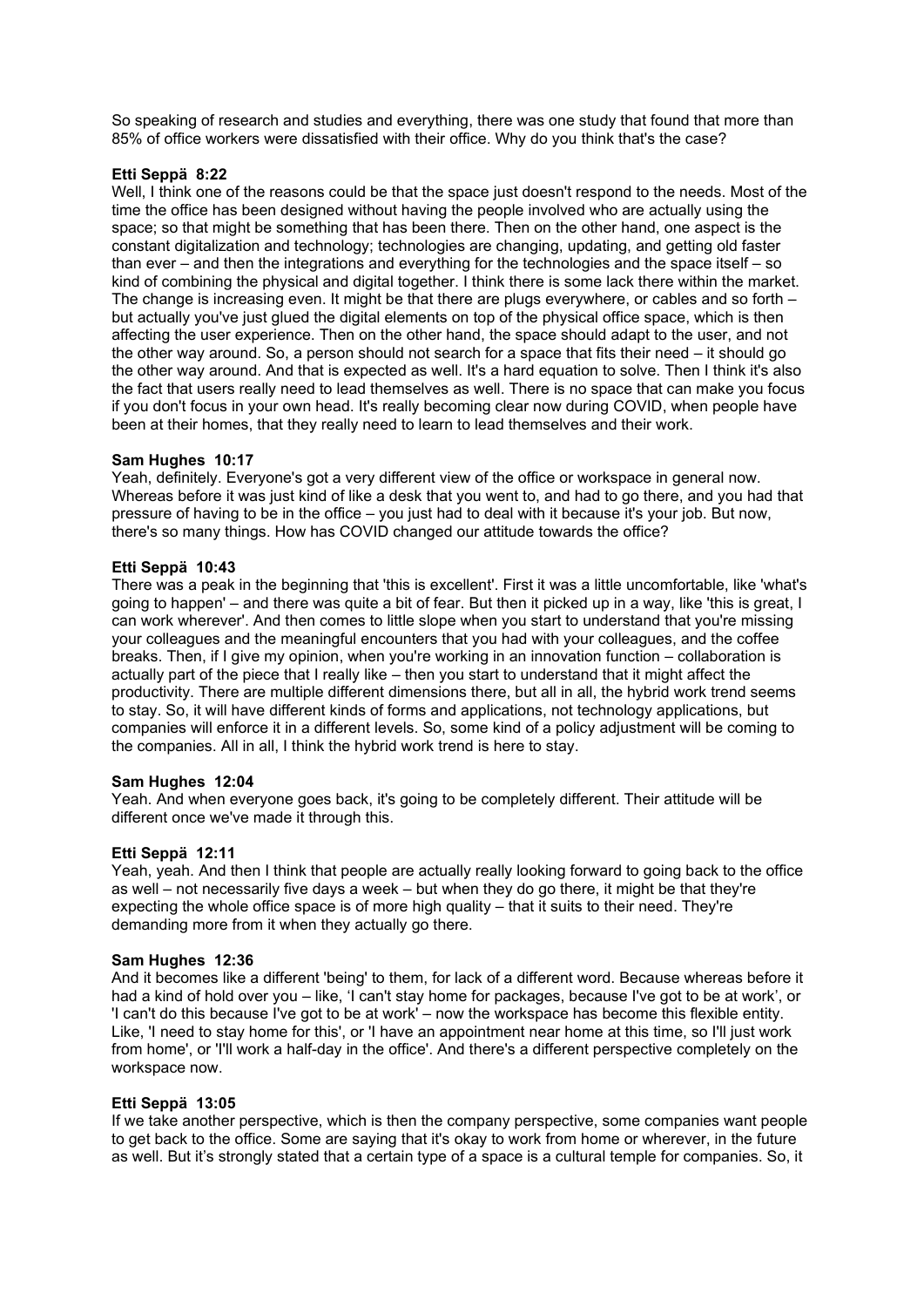So speaking of research and studies and everything, there was one study that found that more than 85% of office workers were dissatisfied with their office. Why do you think that's the case?

## **Etti Seppä 8:22**

Well, I think one of the reasons could be that the space just doesn't respond to the needs. Most of the time the office has been designed without having the people involved who are actually using the space; so that might be something that has been there. Then on the other hand, one aspect is the constant digitalization and technology; technologies are changing, updating, and getting old faster than ever – and then the integrations and everything for the technologies and the space itself – so kind of combining the physical and digital together. I think there is some lack there within the market. The change is increasing even. It might be that there are plugs everywhere, or cables and so forth – but actually you've just glued the digital elements on top of the physical office space, which is then affecting the user experience. Then on the other hand, the space should adapt to the user, and not the other way around. So, a person should not search for a space that fits their need – it should go the other way around. And that is expected as well. It's a hard equation to solve. Then I think it's also the fact that users really need to lead themselves as well. There is no space that can make you focus if you don't focus in your own head. It's really becoming clear now during COVID, when people have been at their homes, that they really need to learn to lead themselves and their work.

## **Sam Hughes 10:17**

Yeah, definitely. Everyone's got a very different view of the office or workspace in general now. Whereas before it was just kind of like a desk that you went to, and had to go there, and you had that pressure of having to be in the office – you just had to deal with it because it's your job. But now, there's so many things. How has COVID changed our attitude towards the office?

## **Etti Seppä 10:43**

There was a peak in the beginning that 'this is excellent'. First it was a little uncomfortable, like 'what's going to happen' – and there was quite a bit of fear. But then it picked up in a way, like 'this is great, I can work wherever'. And then comes to little slope when you start to understand that you're missing your colleagues and the meaningful encounters that you had with your colleagues, and the coffee breaks. Then, if I give my opinion, when you're working in an innovation function – collaboration is actually part of the piece that I really like – then you start to understand that it might affect the productivity. There are multiple different dimensions there, but all in all, the hybrid work trend seems to stay. So, it will have different kinds of forms and applications, not technology applications, but companies will enforce it in a different levels. So, some kind of a policy adjustment will be coming to the companies. All in all, I think the hybrid work trend is here to stay.

### **Sam Hughes 12:04**

Yeah. And when everyone goes back, it's going to be completely different. Their attitude will be different once we've made it through this.

## **Etti Seppä 12:11**

Yeah, yeah. And then I think that people are actually really looking forward to going back to the office as well – not necessarily five days a week – but when they do go there, it might be that they're expecting the whole office space is of more high quality – that it suits to their need. They're demanding more from it when they actually go there.

### **Sam Hughes 12:36**

And it becomes like a different 'being' to them, for lack of a different word. Because whereas before it had a kind of hold over you – like, 'I can't stay home for packages, because I've got to be at work', or 'I can't do this because I've got to be at work' – now the workspace has become this flexible entity. Like, 'I need to stay home for this', or 'I have an appointment near home at this time, so I'll just work from home', or 'I'll work a half-day in the office'. And there's a different perspective completely on the workspace now.

## **Etti Seppä 13:05**

If we take another perspective, which is then the company perspective, some companies want people to get back to the office. Some are saying that it's okay to work from home or wherever, in the future as well. But it's strongly stated that a certain type of a space is a cultural temple for companies. So, it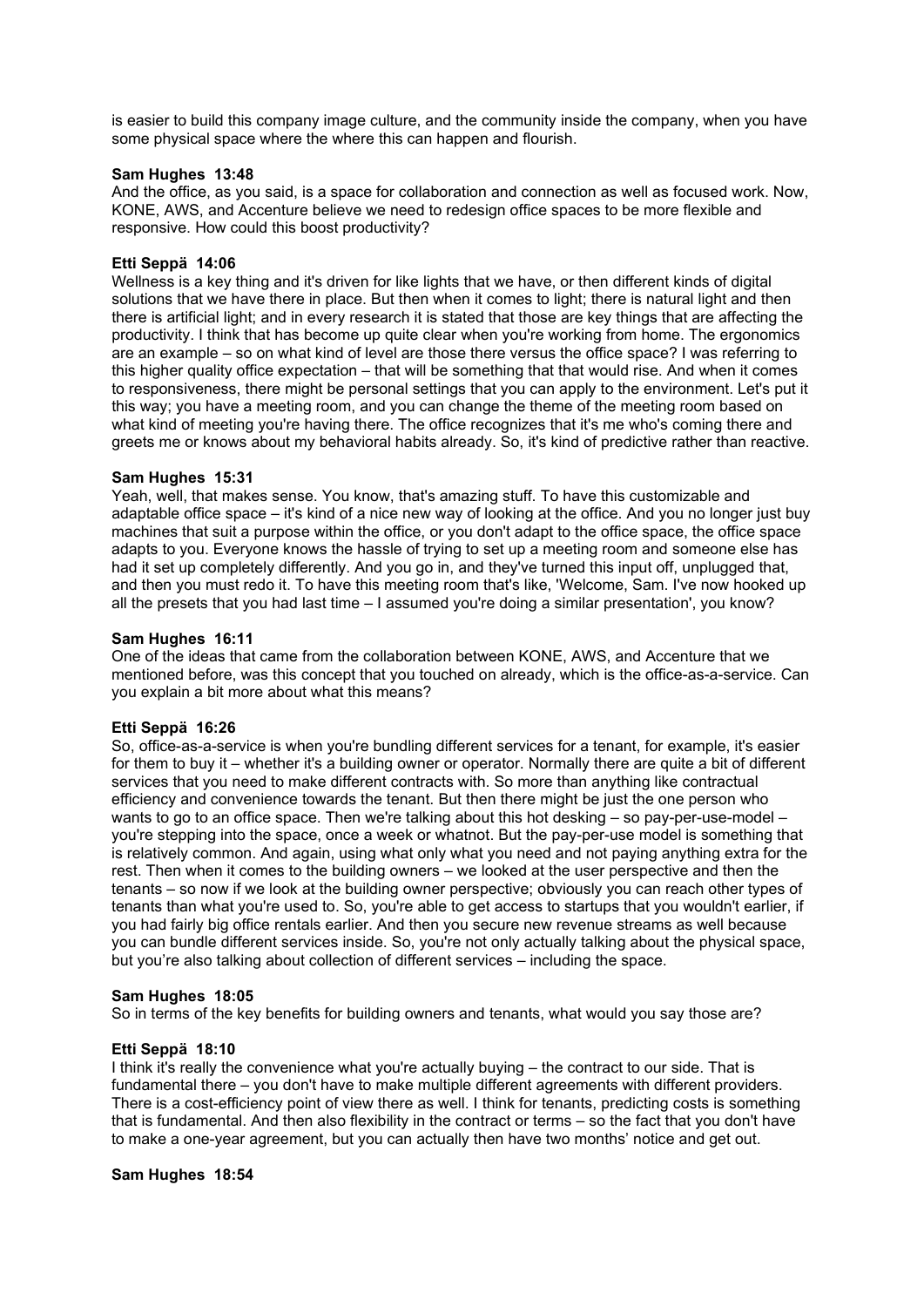is easier to build this company image culture, and the community inside the company, when you have some physical space where the where this can happen and flourish.

## **Sam Hughes 13:48**

And the office, as you said, is a space for collaboration and connection as well as focused work. Now, KONE, AWS, and Accenture believe we need to redesign office spaces to be more flexible and responsive. How could this boost productivity?

## **Etti Seppä 14:06**

Wellness is a key thing and it's driven for like lights that we have, or then different kinds of digital solutions that we have there in place. But then when it comes to light; there is natural light and then there is artificial light; and in every research it is stated that those are key things that are affecting the productivity. I think that has become up quite clear when you're working from home. The ergonomics are an example – so on what kind of level are those there versus the office space? I was referring to this higher quality office expectation – that will be something that that would rise. And when it comes to responsiveness, there might be personal settings that you can apply to the environment. Let's put it this way; you have a meeting room, and you can change the theme of the meeting room based on what kind of meeting you're having there. The office recognizes that it's me who's coming there and greets me or knows about my behavioral habits already. So, it's kind of predictive rather than reactive.

## **Sam Hughes 15:31**

Yeah, well, that makes sense. You know, that's amazing stuff. To have this customizable and adaptable office space – it's kind of a nice new way of looking at the office. And you no longer just buy machines that suit a purpose within the office, or you don't adapt to the office space, the office space adapts to you. Everyone knows the hassle of trying to set up a meeting room and someone else has had it set up completely differently. And you go in, and they've turned this input off, unplugged that, and then you must redo it. To have this meeting room that's like, 'Welcome, Sam. I've now hooked up all the presets that you had last time – I assumed you're doing a similar presentation', you know?

### **Sam Hughes 16:11**

One of the ideas that came from the collaboration between KONE, AWS, and Accenture that we mentioned before, was this concept that you touched on already, which is the office-as-a-service. Can you explain a bit more about what this means?

### **Etti Seppä 16:26**

So, office-as-a-service is when you're bundling different services for a tenant, for example, it's easier for them to buy it – whether it's a building owner or operator. Normally there are quite a bit of different services that you need to make different contracts with. So more than anything like contractual efficiency and convenience towards the tenant. But then there might be just the one person who wants to go to an office space. Then we're talking about this hot desking – so pay-per-use-model you're stepping into the space, once a week or whatnot. But the pay-per-use model is something that is relatively common. And again, using what only what you need and not paying anything extra for the rest. Then when it comes to the building owners – we looked at the user perspective and then the tenants – so now if we look at the building owner perspective; obviously you can reach other types of tenants than what you're used to. So, you're able to get access to startups that you wouldn't earlier, if you had fairly big office rentals earlier. And then you secure new revenue streams as well because you can bundle different services inside. So, you're not only actually talking about the physical space, but you're also talking about collection of different services – including the space.

### **Sam Hughes 18:05**

So in terms of the key benefits for building owners and tenants, what would you say those are?

## **Etti Seppä 18:10**

I think it's really the convenience what you're actually buying – the contract to our side. That is fundamental there – you don't have to make multiple different agreements with different providers. There is a cost-efficiency point of view there as well. I think for tenants, predicting costs is something that is fundamental. And then also flexibility in the contract or terms – so the fact that you don't have to make a one-year agreement, but you can actually then have two months' notice and get out.

### **Sam Hughes 18:54**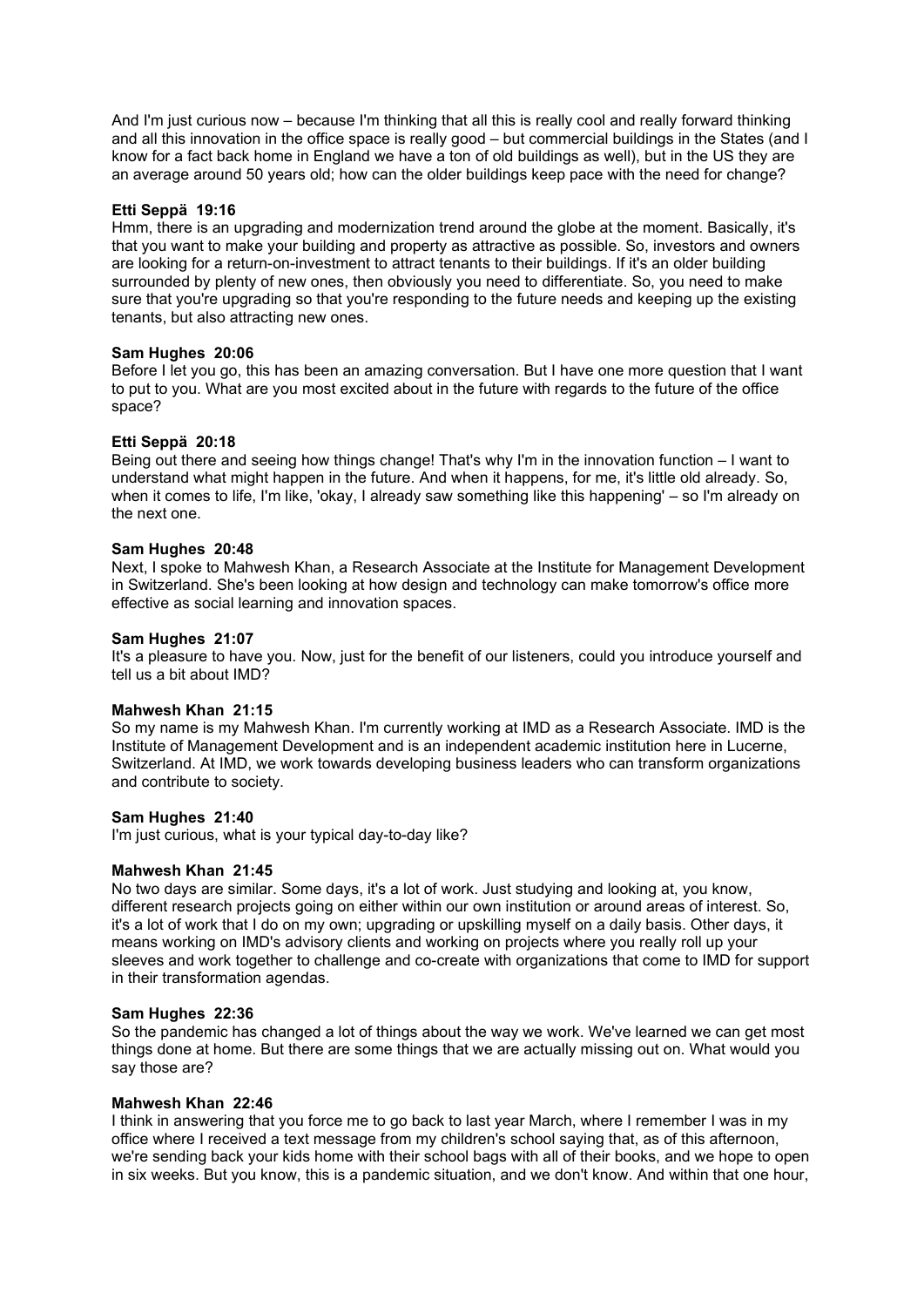And I'm just curious now – because I'm thinking that all this is really cool and really forward thinking and all this innovation in the office space is really good – but commercial buildings in the States (and I know for a fact back home in England we have a ton of old buildings as well), but in the US they are an average around 50 years old; how can the older buildings keep pace with the need for change?

## **Etti Seppä 19:16**

Hmm, there is an upgrading and modernization trend around the globe at the moment. Basically, it's that you want to make your building and property as attractive as possible. So, investors and owners are looking for a return-on-investment to attract tenants to their buildings. If it's an older building surrounded by plenty of new ones, then obviously you need to differentiate. So, you need to make sure that you're upgrading so that you're responding to the future needs and keeping up the existing tenants, but also attracting new ones.

## **Sam Hughes 20:06**

Before I let you go, this has been an amazing conversation. But I have one more question that I want to put to you. What are you most excited about in the future with regards to the future of the office space?

## **Etti Seppä 20:18**

Being out there and seeing how things change! That's why I'm in the innovation function – I want to understand what might happen in the future. And when it happens, for me, it's little old already. So, when it comes to life, I'm like, 'okay, I already saw something like this happening' – so I'm already on the next one.

## **Sam Hughes 20:48**

Next, I spoke to Mahwesh Khan, a Research Associate at the Institute for Management Development in Switzerland. She's been looking at how design and technology can make tomorrow's office more effective as social learning and innovation spaces.

## **Sam Hughes 21:07**

It's a pleasure to have you. Now, just for the benefit of our listeners, could you introduce yourself and tell us a bit about IMD?

### **Mahwesh Khan 21:15**

So my name is my Mahwesh Khan. I'm currently working at IMD as a Research Associate. IMD is the Institute of Management Development and is an independent academic institution here in Lucerne, Switzerland. At IMD, we work towards developing business leaders who can transform organizations and contribute to society.

### **Sam Hughes 21:40**

I'm just curious, what is your typical day-to-day like?

### **Mahwesh Khan 21:45**

No two days are similar. Some days, it's a lot of work. Just studying and looking at, you know, different research projects going on either within our own institution or around areas of interest. So, it's a lot of work that I do on my own; upgrading or upskilling myself on a daily basis. Other days, it means working on IMD's advisory clients and working on projects where you really roll up your sleeves and work together to challenge and co-create with organizations that come to IMD for support in their transformation agendas.

### **Sam Hughes 22:36**

So the pandemic has changed a lot of things about the way we work. We've learned we can get most things done at home. But there are some things that we are actually missing out on. What would you say those are?

## **Mahwesh Khan 22:46**

I think in answering that you force me to go back to last year March, where I remember I was in my office where I received a text message from my children's school saying that, as of this afternoon, we're sending back your kids home with their school bags with all of their books, and we hope to open in six weeks. But you know, this is a pandemic situation, and we don't know. And within that one hour,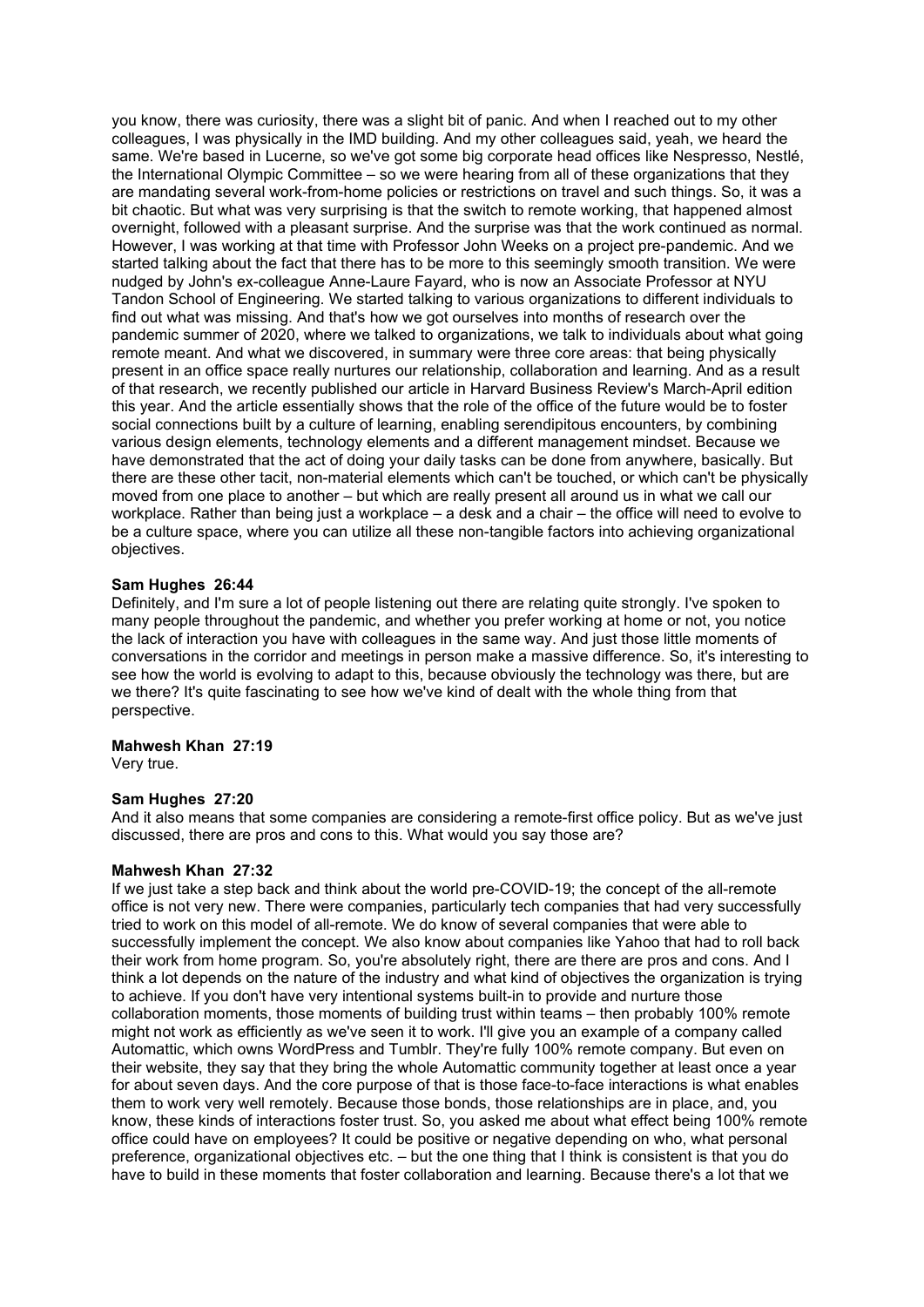you know, there was curiosity, there was a slight bit of panic. And when I reached out to my other colleagues, I was physically in the IMD building. And my other colleagues said, yeah, we heard the same. We're based in Lucerne, so we've got some big corporate head offices like Nespresso, Nestlé, the International Olympic Committee – so we were hearing from all of these organizations that they are mandating several work-from-home policies or restrictions on travel and such things. So, it was a bit chaotic. But what was very surprising is that the switch to remote working, that happened almost overnight, followed with a pleasant surprise. And the surprise was that the work continued as normal. However, I was working at that time with Professor John Weeks on a project pre-pandemic. And we started talking about the fact that there has to be more to this seemingly smooth transition. We were nudged by John's ex-colleague Anne-Laure Fayard, who is now an Associate Professor at NYU Tandon School of Engineering. We started talking to various organizations to different individuals to find out what was missing. And that's how we got ourselves into months of research over the pandemic summer of 2020, where we talked to organizations, we talk to individuals about what going remote meant. And what we discovered, in summary were three core areas: that being physically present in an office space really nurtures our relationship, collaboration and learning. And as a result of that research, we recently published our article in Harvard Business Review's March-April edition this year. And the article essentially shows that the role of the office of the future would be to foster social connections built by a culture of learning, enabling serendipitous encounters, by combining various design elements, technology elements and a different management mindset. Because we have demonstrated that the act of doing your daily tasks can be done from anywhere, basically. But there are these other tacit, non-material elements which can't be touched, or which can't be physically moved from one place to another – but which are really present all around us in what we call our workplace. Rather than being just a workplace – a desk and a chair – the office will need to evolve to be a culture space, where you can utilize all these non-tangible factors into achieving organizational objectives.

## **Sam Hughes 26:44**

Definitely, and I'm sure a lot of people listening out there are relating quite strongly. I've spoken to many people throughout the pandemic, and whether you prefer working at home or not, you notice the lack of interaction you have with colleagues in the same way. And just those little moments of conversations in the corridor and meetings in person make a massive difference. So, it's interesting to see how the world is evolving to adapt to this, because obviously the technology was there, but are we there? It's quite fascinating to see how we've kind of dealt with the whole thing from that perspective.

## **Mahwesh Khan 27:19**

Very true.

### **Sam Hughes 27:20**

And it also means that some companies are considering a remote-first office policy. But as we've just discussed, there are pros and cons to this. What would you say those are?

### **Mahwesh Khan 27:32**

If we just take a step back and think about the world pre-COVID-19; the concept of the all-remote office is not very new. There were companies, particularly tech companies that had very successfully tried to work on this model of all-remote. We do know of several companies that were able to successfully implement the concept. We also know about companies like Yahoo that had to roll back their work from home program. So, you're absolutely right, there are there are pros and cons. And I think a lot depends on the nature of the industry and what kind of objectives the organization is trying to achieve. If you don't have very intentional systems built-in to provide and nurture those collaboration moments, those moments of building trust within teams – then probably 100% remote might not work as efficiently as we've seen it to work. I'll give you an example of a company called Automattic, which owns WordPress and Tumblr. They're fully 100% remote company. But even on their website, they say that they bring the whole Automattic community together at least once a year for about seven days. And the core purpose of that is those face-to-face interactions is what enables them to work very well remotely. Because those bonds, those relationships are in place, and, you know, these kinds of interactions foster trust. So, you asked me about what effect being 100% remote office could have on employees? It could be positive or negative depending on who, what personal preference, organizational objectives etc. – but the one thing that I think is consistent is that you do have to build in these moments that foster collaboration and learning. Because there's a lot that we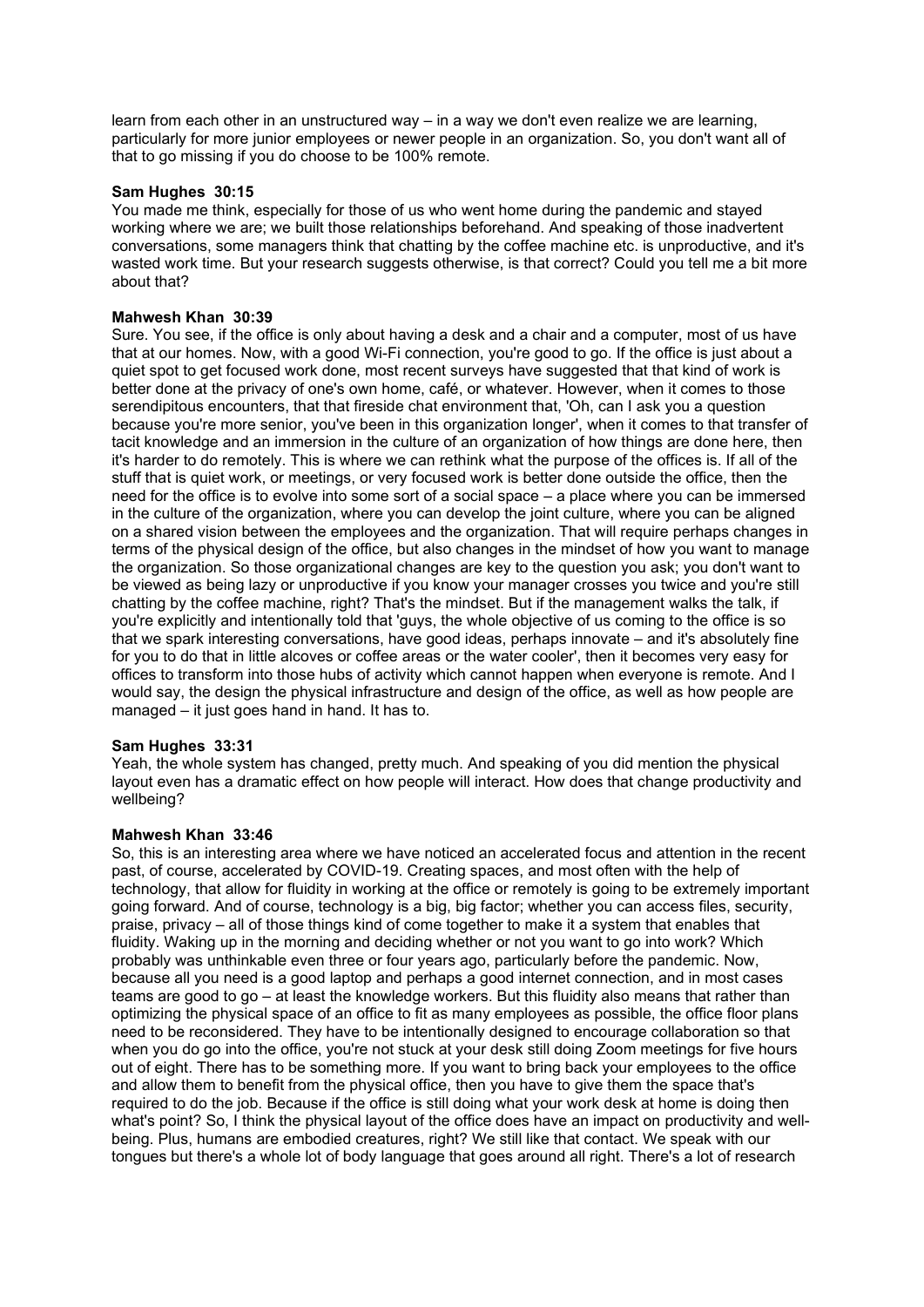learn from each other in an unstructured way – in a way we don't even realize we are learning, particularly for more junior employees or newer people in an organization. So, you don't want all of that to go missing if you do choose to be 100% remote.

## **Sam Hughes 30:15**

You made me think, especially for those of us who went home during the pandemic and stayed working where we are; we built those relationships beforehand. And speaking of those inadvertent conversations, some managers think that chatting by the coffee machine etc. is unproductive, and it's wasted work time. But your research suggests otherwise, is that correct? Could you tell me a bit more about that?

## **Mahwesh Khan 30:39**

Sure. You see, if the office is only about having a desk and a chair and a computer, most of us have that at our homes. Now, with a good Wi-Fi connection, you're good to go. If the office is just about a quiet spot to get focused work done, most recent surveys have suggested that that kind of work is better done at the privacy of one's own home, café, or whatever. However, when it comes to those serendipitous encounters, that that fireside chat environment that, 'Oh, can I ask you a question because you're more senior, you've been in this organization longer', when it comes to that transfer of tacit knowledge and an immersion in the culture of an organization of how things are done here, then it's harder to do remotely. This is where we can rethink what the purpose of the offices is. If all of the stuff that is quiet work, or meetings, or very focused work is better done outside the office, then the need for the office is to evolve into some sort of a social space – a place where you can be immersed in the culture of the organization, where you can develop the joint culture, where you can be aligned on a shared vision between the employees and the organization. That will require perhaps changes in terms of the physical design of the office, but also changes in the mindset of how you want to manage the organization. So those organizational changes are key to the question you ask; you don't want to be viewed as being lazy or unproductive if you know your manager crosses you twice and you're still chatting by the coffee machine, right? That's the mindset. But if the management walks the talk, if you're explicitly and intentionally told that 'guys, the whole objective of us coming to the office is so that we spark interesting conversations, have good ideas, perhaps innovate – and it's absolutely fine for you to do that in little alcoves or coffee areas or the water cooler', then it becomes very easy for offices to transform into those hubs of activity which cannot happen when everyone is remote. And I would say, the design the physical infrastructure and design of the office, as well as how people are managed – it just goes hand in hand. It has to.

## **Sam Hughes 33:31**

Yeah, the whole system has changed, pretty much. And speaking of you did mention the physical layout even has a dramatic effect on how people will interact. How does that change productivity and wellbeing?

### **Mahwesh Khan 33:46**

So, this is an interesting area where we have noticed an accelerated focus and attention in the recent past, of course, accelerated by COVID-19. Creating spaces, and most often with the help of technology, that allow for fluidity in working at the office or remotely is going to be extremely important going forward. And of course, technology is a big, big factor; whether you can access files, security, praise, privacy – all of those things kind of come together to make it a system that enables that fluidity. Waking up in the morning and deciding whether or not you want to go into work? Which probably was unthinkable even three or four years ago, particularly before the pandemic. Now, because all you need is a good laptop and perhaps a good internet connection, and in most cases teams are good to go – at least the knowledge workers. But this fluidity also means that rather than optimizing the physical space of an office to fit as many employees as possible, the office floor plans need to be reconsidered. They have to be intentionally designed to encourage collaboration so that when you do go into the office, you're not stuck at your desk still doing Zoom meetings for five hours out of eight. There has to be something more. If you want to bring back your employees to the office and allow them to benefit from the physical office, then you have to give them the space that's required to do the job. Because if the office is still doing what your work desk at home is doing then what's point? So, I think the physical layout of the office does have an impact on productivity and wellbeing. Plus, humans are embodied creatures, right? We still like that contact. We speak with our tongues but there's a whole lot of body language that goes around all right. There's a lot of research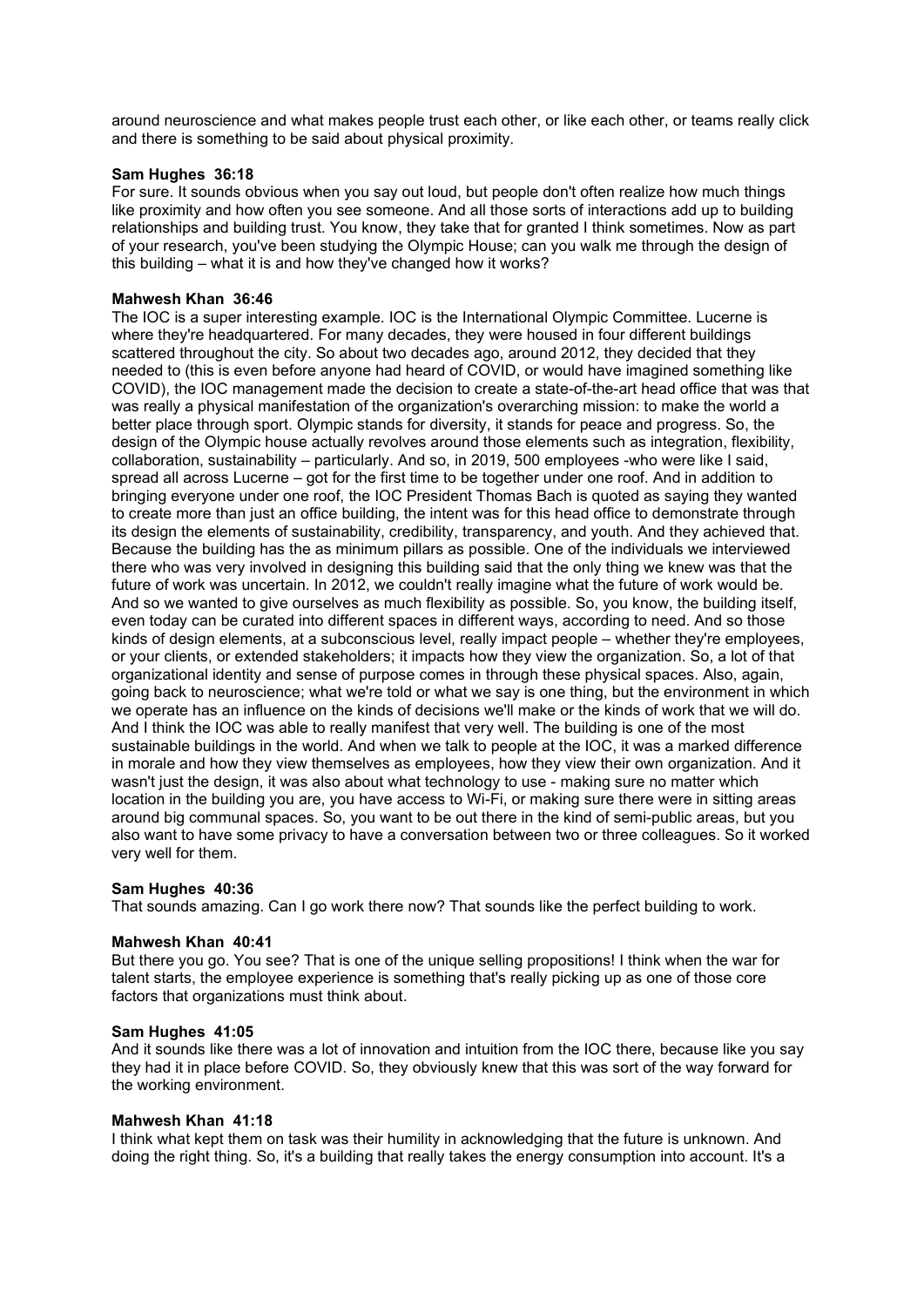around neuroscience and what makes people trust each other, or like each other, or teams really click and there is something to be said about physical proximity.

## **Sam Hughes 36:18**

For sure. It sounds obvious when you say out loud, but people don't often realize how much things like proximity and how often you see someone. And all those sorts of interactions add up to building relationships and building trust. You know, they take that for granted I think sometimes. Now as part of your research, you've been studying the Olympic House; can you walk me through the design of this building – what it is and how they've changed how it works?

## **Mahwesh Khan 36:46**

The IOC is a super interesting example. IOC is the International Olympic Committee. Lucerne is where they're headquartered. For many decades, they were housed in four different buildings scattered throughout the city. So about two decades ago, around 2012, they decided that they needed to (this is even before anyone had heard of COVID, or would have imagined something like COVID), the IOC management made the decision to create a state-of-the-art head office that was that was really a physical manifestation of the organization's overarching mission: to make the world a better place through sport. Olympic stands for diversity, it stands for peace and progress. So, the design of the Olympic house actually revolves around those elements such as integration, flexibility, collaboration, sustainability – particularly. And so, in 2019, 500 employees -who were like I said, spread all across Lucerne – got for the first time to be together under one roof. And in addition to bringing everyone under one roof, the IOC President Thomas Bach is quoted as saying they wanted to create more than just an office building, the intent was for this head office to demonstrate through its design the elements of sustainability, credibility, transparency, and youth. And they achieved that. Because the building has the as minimum pillars as possible. One of the individuals we interviewed there who was very involved in designing this building said that the only thing we knew was that the future of work was uncertain. In 2012, we couldn't really imagine what the future of work would be. And so we wanted to give ourselves as much flexibility as possible. So, you know, the building itself, even today can be curated into different spaces in different ways, according to need. And so those kinds of design elements, at a subconscious level, really impact people – whether they're employees, or your clients, or extended stakeholders; it impacts how they view the organization. So, a lot of that organizational identity and sense of purpose comes in through these physical spaces. Also, again, going back to neuroscience; what we're told or what we say is one thing, but the environment in which we operate has an influence on the kinds of decisions we'll make or the kinds of work that we will do. And I think the IOC was able to really manifest that very well. The building is one of the most sustainable buildings in the world. And when we talk to people at the IOC, it was a marked difference in morale and how they view themselves as employees, how they view their own organization. And it wasn't just the design, it was also about what technology to use - making sure no matter which location in the building you are, you have access to Wi-Fi, or making sure there were in sitting areas around big communal spaces. So, you want to be out there in the kind of semi-public areas, but you also want to have some privacy to have a conversation between two or three colleagues. So it worked very well for them.

## **Sam Hughes 40:36**

That sounds amazing. Can I go work there now? That sounds like the perfect building to work.

## **Mahwesh Khan 40:41**

But there you go. You see? That is one of the unique selling propositions! I think when the war for talent starts, the employee experience is something that's really picking up as one of those core factors that organizations must think about.

## **Sam Hughes 41:05**

And it sounds like there was a lot of innovation and intuition from the IOC there, because like you say they had it in place before COVID. So, they obviously knew that this was sort of the way forward for the working environment.

## **Mahwesh Khan 41:18**

I think what kept them on task was their humility in acknowledging that the future is unknown. And doing the right thing. So, it's a building that really takes the energy consumption into account. It's a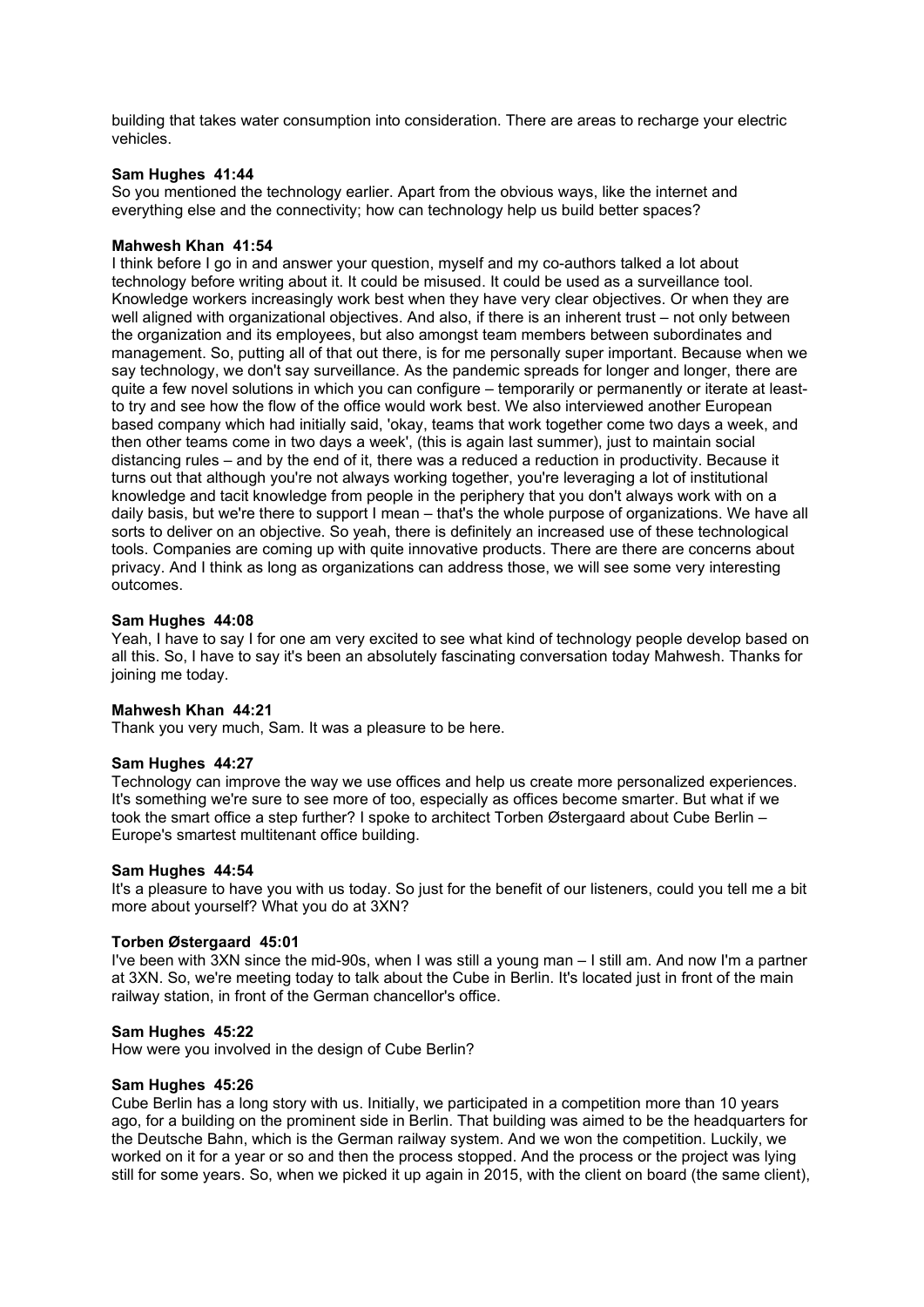building that takes water consumption into consideration. There are areas to recharge your electric vehicles.

## **Sam Hughes 41:44**

So you mentioned the technology earlier. Apart from the obvious ways, like the internet and everything else and the connectivity; how can technology help us build better spaces?

## **Mahwesh Khan 41:54**

I think before I go in and answer your question, myself and my co-authors talked a lot about technology before writing about it. It could be misused. It could be used as a surveillance tool. Knowledge workers increasingly work best when they have very clear objectives. Or when they are well aligned with organizational objectives. And also, if there is an inherent trust – not only between the organization and its employees, but also amongst team members between subordinates and management. So, putting all of that out there, is for me personally super important. Because when we say technology, we don't say surveillance. As the pandemic spreads for longer and longer, there are quite a few novel solutions in which you can configure – temporarily or permanently or iterate at leastto try and see how the flow of the office would work best. We also interviewed another European based company which had initially said, 'okay, teams that work together come two days a week, and then other teams come in two days a week', (this is again last summer), just to maintain social distancing rules – and by the end of it, there was a reduced a reduction in productivity. Because it turns out that although you're not always working together, you're leveraging a lot of institutional knowledge and tacit knowledge from people in the periphery that you don't always work with on a daily basis, but we're there to support I mean – that's the whole purpose of organizations. We have all sorts to deliver on an objective. So yeah, there is definitely an increased use of these technological tools. Companies are coming up with quite innovative products. There are there are concerns about privacy. And I think as long as organizations can address those, we will see some very interesting outcomes.

## **Sam Hughes 44:08**

Yeah, I have to say I for one am very excited to see what kind of technology people develop based on all this. So, I have to say it's been an absolutely fascinating conversation today Mahwesh. Thanks for ioining me today.

### **Mahwesh Khan 44:21**

Thank you very much, Sam. It was a pleasure to be here.

## **Sam Hughes 44:27**

Technology can improve the way we use offices and help us create more personalized experiences. It's something we're sure to see more of too, especially as offices become smarter. But what if we took the smart office a step further? I spoke to architect Torben Østergaard about Cube Berlin – Europe's smartest multitenant office building.

### **Sam Hughes 44:54**

It's a pleasure to have you with us today. So just for the benefit of our listeners, could you tell me a bit more about yourself? What you do at 3XN?

### **Torben Østergaard 45:01**

I've been with 3XN since the mid-90s, when I was still a young man – I still am. And now I'm a partner at 3XN. So, we're meeting today to talk about the Cube in Berlin. It's located just in front of the main railway station, in front of the German chancellor's office.

### **Sam Hughes 45:22**

How were you involved in the design of Cube Berlin?

### **Sam Hughes 45:26**

Cube Berlin has a long story with us. Initially, we participated in a competition more than 10 years ago, for a building on the prominent side in Berlin. That building was aimed to be the headquarters for the Deutsche Bahn, which is the German railway system. And we won the competition. Luckily, we worked on it for a year or so and then the process stopped. And the process or the project was lying still for some years. So, when we picked it up again in 2015, with the client on board (the same client),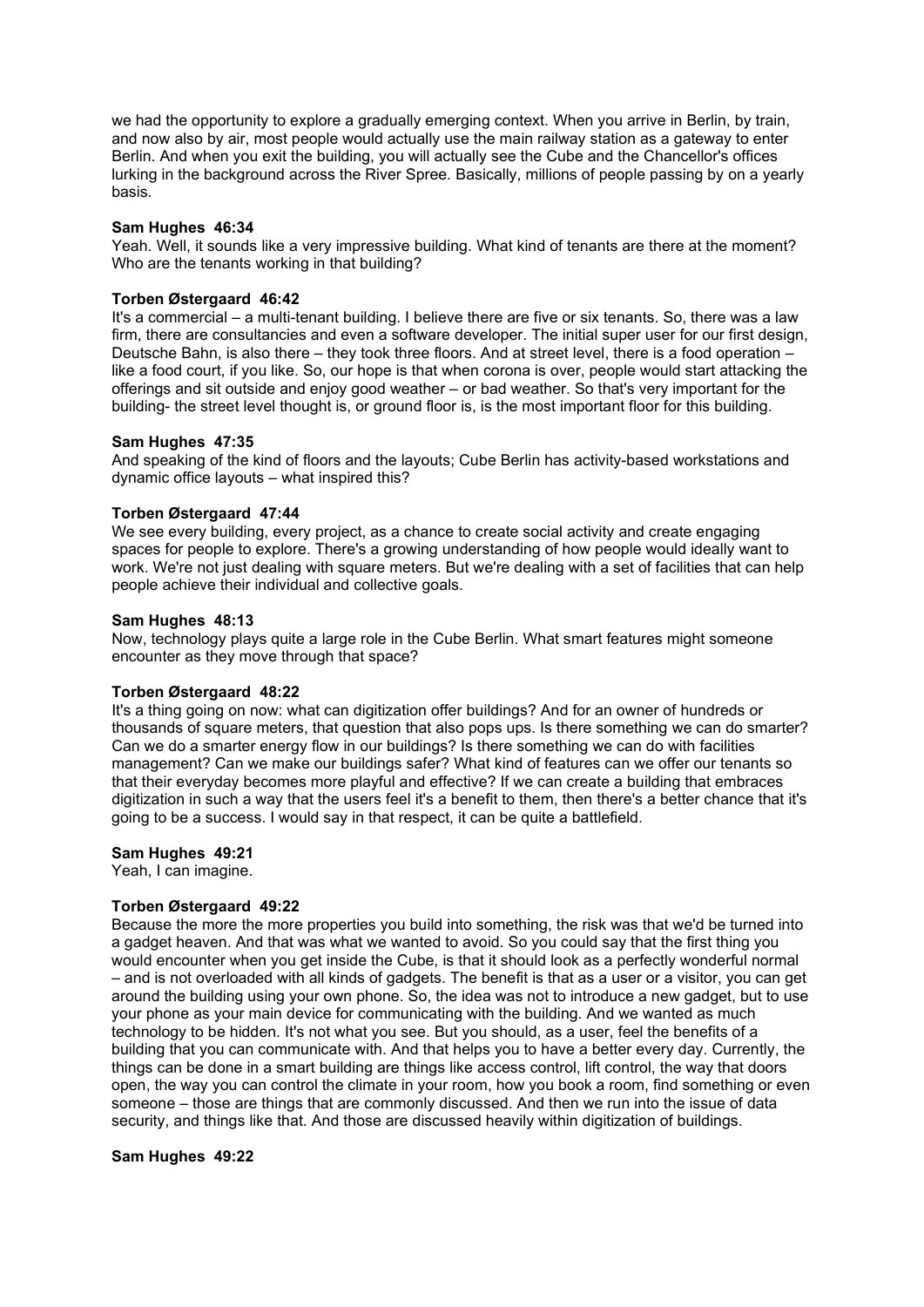we had the opportunity to explore a gradually emerging context. When you arrive in Berlin, by train, and now also by air, most people would actually use the main railway station as a gateway to enter Berlin. And when you exit the building, you will actually see the Cube and the Chancellor's offices lurking in the background across the River Spree. Basically, millions of people passing by on a yearly basis.

### **Sam Hughes 46:34**

Yeah. Well, it sounds like a very impressive building. What kind of tenants are there at the moment? Who are the tenants working in that building?

## **Torben Østergaard 46:42**

It's a commercial – a multi-tenant building. I believe there are five or six tenants. So, there was a law firm, there are consultancies and even a software developer. The initial super user for our first design, Deutsche Bahn, is also there – they took three floors. And at street level, there is a food operation – like a food court, if you like. So, our hope is that when corona is over, people would start attacking the offerings and sit outside and enjoy good weather – or bad weather. So that's very important for the building- the street level thought is, or ground floor is, is the most important floor for this building.

## **Sam Hughes 47:35**

And speaking of the kind of floors and the layouts; Cube Berlin has activity-based workstations and dynamic office layouts – what inspired this?

## **Torben Østergaard 47:44**

We see every building, every project, as a chance to create social activity and create engaging spaces for people to explore. There's a growing understanding of how people would ideally want to work. We're not just dealing with square meters. But we're dealing with a set of facilities that can help people achieve their individual and collective goals.

## **Sam Hughes 48:13**

Now, technology plays quite a large role in the Cube Berlin. What smart features might someone encounter as they move through that space?

### **Torben Østergaard 48:22**

It's a thing going on now: what can digitization offer buildings? And for an owner of hundreds or thousands of square meters, that question that also pops ups. Is there something we can do smarter? Can we do a smarter energy flow in our buildings? Is there something we can do with facilities management? Can we make our buildings safer? What kind of features can we offer our tenants so that their everyday becomes more playful and effective? If we can create a building that embraces digitization in such a way that the users feel it's a benefit to them, then there's a better chance that it's going to be a success. I would say in that respect, it can be quite a battlefield.

### **Sam Hughes 49:21**

Yeah, I can imagine.

## **Torben Østergaard 49:22**

Because the more the more properties you build into something, the risk was that we'd be turned into a gadget heaven. And that was what we wanted to avoid. So you could say that the first thing you would encounter when you get inside the Cube, is that it should look as a perfectly wonderful normal – and is not overloaded with all kinds of gadgets. The benefit is that as a user or a visitor, you can get around the building using your own phone. So, the idea was not to introduce a new gadget, but to use your phone as your main device for communicating with the building. And we wanted as much technology to be hidden. It's not what you see. But you should, as a user, feel the benefits of a building that you can communicate with. And that helps you to have a better every day. Currently, the things can be done in a smart building are things like access control, lift control, the way that doors open, the way you can control the climate in your room, how you book a room, find something or even someone – those are things that are commonly discussed. And then we run into the issue of data security, and things like that. And those are discussed heavily within digitization of buildings.

## **Sam Hughes 49:22**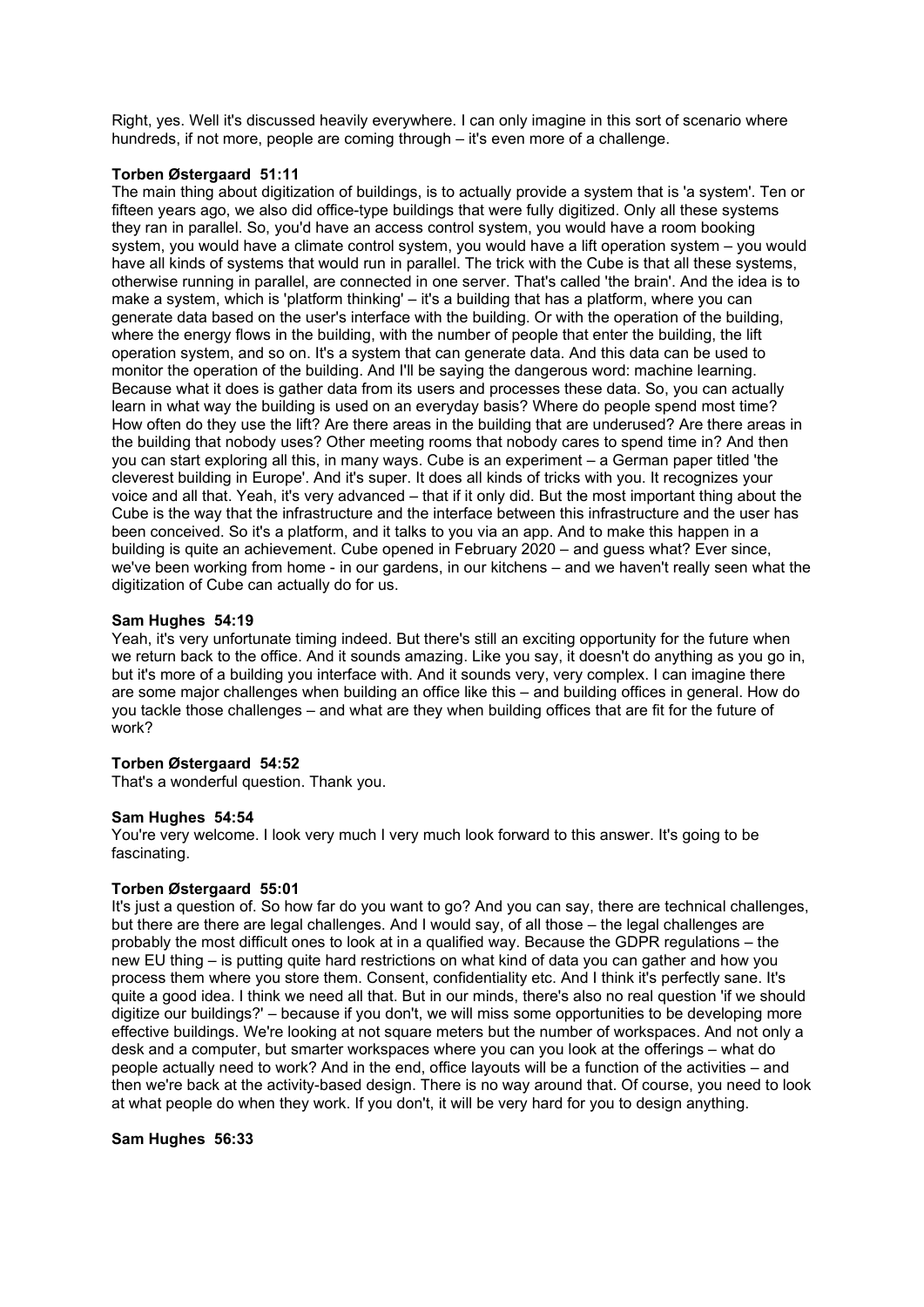Right, yes. Well it's discussed heavily everywhere. I can only imagine in this sort of scenario where hundreds, if not more, people are coming through – it's even more of a challenge.

## **Torben Østergaard 51:11**

The main thing about digitization of buildings, is to actually provide a system that is 'a system'. Ten or fifteen years ago, we also did office-type buildings that were fully digitized. Only all these systems they ran in parallel. So, you'd have an access control system, you would have a room booking system, you would have a climate control system, you would have a lift operation system – you would have all kinds of systems that would run in parallel. The trick with the Cube is that all these systems, otherwise running in parallel, are connected in one server. That's called 'the brain'. And the idea is to make a system, which is 'platform thinking' – it's a building that has a platform, where you can generate data based on the user's interface with the building. Or with the operation of the building, where the energy flows in the building, with the number of people that enter the building, the lift operation system, and so on. It's a system that can generate data. And this data can be used to monitor the operation of the building. And I'll be saying the dangerous word: machine learning. Because what it does is gather data from its users and processes these data. So, you can actually learn in what way the building is used on an everyday basis? Where do people spend most time? How often do they use the lift? Are there areas in the building that are underused? Are there areas in the building that nobody uses? Other meeting rooms that nobody cares to spend time in? And then you can start exploring all this, in many ways. Cube is an experiment – a German paper titled 'the cleverest building in Europe'. And it's super. It does all kinds of tricks with you. It recognizes your voice and all that. Yeah, it's very advanced – that if it only did. But the most important thing about the Cube is the way that the infrastructure and the interface between this infrastructure and the user has been conceived. So it's a platform, and it talks to you via an app. And to make this happen in a building is quite an achievement. Cube opened in February 2020 – and guess what? Ever since, we've been working from home - in our gardens, in our kitchens – and we haven't really seen what the digitization of Cube can actually do for us.

# **Sam Hughes 54:19**

Yeah, it's very unfortunate timing indeed. But there's still an exciting opportunity for the future when we return back to the office. And it sounds amazing. Like you say, it doesn't do anything as you go in, but it's more of a building you interface with. And it sounds very, very complex. I can imagine there are some major challenges when building an office like this – and building offices in general. How do you tackle those challenges – and what are they when building offices that are fit for the future of work?

## **Torben Østergaard 54:52**

That's a wonderful question. Thank you.

## **Sam Hughes 54:54**

You're very welcome. I look very much I very much look forward to this answer. It's going to be fascinating.

## **Torben Østergaard 55:01**

It's just a question of. So how far do you want to go? And you can say, there are technical challenges, but there are there are legal challenges. And I would say, of all those – the legal challenges are probably the most difficult ones to look at in a qualified way. Because the GDPR regulations – the new EU thing – is putting quite hard restrictions on what kind of data you can gather and how you process them where you store them. Consent, confidentiality etc. And I think it's perfectly sane. It's quite a good idea. I think we need all that. But in our minds, there's also no real question 'if we should digitize our buildings?' – because if you don't, we will miss some opportunities to be developing more effective buildings. We're looking at not square meters but the number of workspaces. And not only a desk and a computer, but smarter workspaces where you can you look at the offerings – what do people actually need to work? And in the end, office layouts will be a function of the activities – and then we're back at the activity-based design. There is no way around that. Of course, you need to look at what people do when they work. If you don't, it will be very hard for you to design anything.

## **Sam Hughes 56:33**